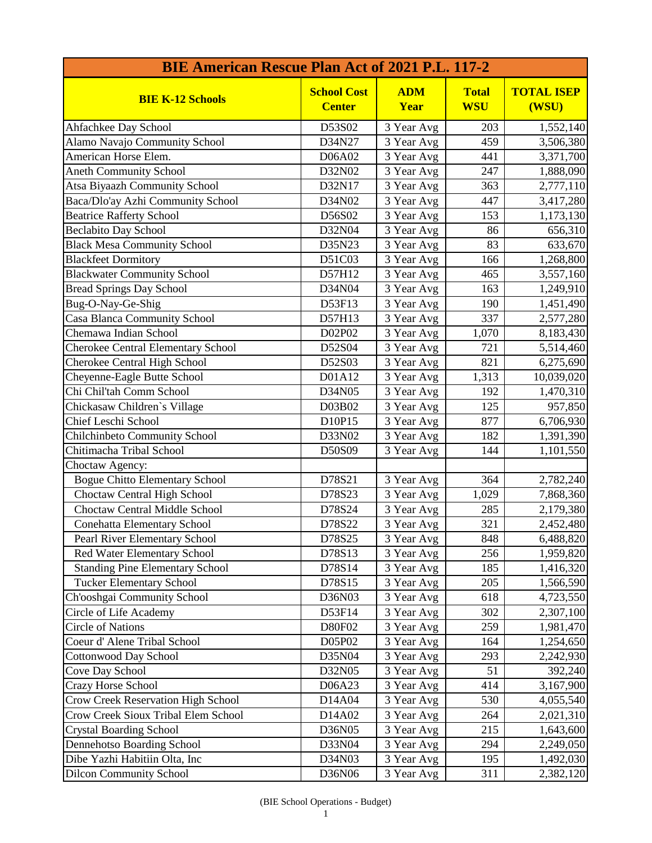| <b>BIE American Rescue Plan Act of 2021 P.L. 117-2</b> |                                     |                    |                            |                            |
|--------------------------------------------------------|-------------------------------------|--------------------|----------------------------|----------------------------|
| <b>BIE K-12 Schools</b>                                | <b>School Cost</b><br><b>Center</b> | <b>ADM</b><br>Year | <b>Total</b><br><b>WSU</b> | <b>TOTAL ISEP</b><br>(WSU) |
| Ahfachkee Day School                                   | D53S02                              | 3 Year Avg         | 203                        | 1,552,140                  |
| Alamo Navajo Community School                          | D34N27                              | 3 Year Avg         | 459                        | 3,506,380                  |
| American Horse Elem.                                   | D06A02                              | 3 Year Avg         | 441                        | 3,371,700                  |
| <b>Aneth Community School</b>                          | D32N02                              | 3 Year Avg         | 247                        | 1,888,090                  |
| Atsa Biyaazh Community School                          | D32N17                              | 3 Year Avg         | 363                        | 2,777,110                  |
| Baca/Dlo'ay Azhi Community School                      | D34N02                              | 3 Year Avg         | 447                        | 3,417,280                  |
| <b>Beatrice Rafferty School</b>                        | D56S02                              | 3 Year Avg         | 153                        | 1,173,130                  |
| <b>Beclabito Day School</b>                            | D32N04                              | 3 Year Avg         | 86                         | 656,310                    |
| <b>Black Mesa Community School</b>                     | D35N23                              | 3 Year Avg         | 83                         | 633,670                    |
| <b>Blackfeet Dormitory</b>                             | D51C03                              | 3 Year Avg         | 166                        | 1,268,800                  |
| <b>Blackwater Community School</b>                     | D57H12                              | 3 Year Avg         | 465                        | 3,557,160                  |
| <b>Bread Springs Day School</b>                        | D34N04                              | 3 Year Avg         | 163                        | 1,249,910                  |
| Bug-O-Nay-Ge-Shig                                      | D53F13                              | 3 Year Avg         | 190                        | 1,451,490                  |
| Casa Blanca Community School                           | D57H13                              | 3 Year Avg         | 337                        | 2,577,280                  |
| Chemawa Indian School                                  | D02P02                              | 3 Year Avg         | 1,070                      | 8,183,430                  |
| <b>Cherokee Central Elementary School</b>              | D52S04                              | 3 Year Avg         | 721                        | 5,514,460                  |
| Cherokee Central High School                           | D52S03                              | 3 Year Avg         | 821                        | 6,275,690                  |
| Cheyenne-Eagle Butte School                            | D01A12                              | 3 Year Avg         | 1,313                      | 10,039,020                 |
| Chi Chil'tah Comm School                               | D34N05                              | 3 Year Avg         | 192                        | 1,470,310                  |
| Chickasaw Children's Village                           | D03B02                              | 3 Year Avg         | 125                        | 957,850                    |
| Chief Leschi School                                    | D10P15                              | 3 Year Avg         | 877                        | 6,706,930                  |
| <b>Chilchinbeto Community School</b>                   | D33N02                              | 3 Year Avg         | 182                        | 1,391,390                  |
| Chitimacha Tribal School                               | D50S09                              | 3 Year Avg         | 144                        | 1,101,550                  |
| Choctaw Agency:                                        |                                     |                    |                            |                            |
| <b>Bogue Chitto Elementary School</b>                  | D78S21                              | 3 Year Avg         | 364                        | 2,782,240                  |
| <b>Choctaw Central High School</b>                     | D78S23                              | 3 Year Avg         | 1,029                      | 7,868,360                  |
| Choctaw Central Middle School                          | D78S24                              | 3 Year Avg         | 285                        | 2,179,380                  |
| <b>Conehatta Elementary School</b>                     | D78S22                              | 3 Year Avg         | 321                        | 2,452,480                  |
| <b>Pearl River Elementary School</b>                   | D78S25                              | 3 Year Avg         | 848                        | 6,488,820                  |
| Red Water Elementary School                            | D78S13                              | 3 Year Avg         | 256                        | 1,959,820                  |
| <b>Standing Pine Elementary School</b>                 | D78S14                              | 3 Year Avg         | 185                        | 1,416,320                  |
| <b>Tucker Elementary School</b>                        | D78S15                              | 3 Year Avg         | 205                        | 1,566,590                  |
| Ch'ooshgai Community School                            | D36N03                              | 3 Year Avg         | 618                        | 4,723,550                  |
| Circle of Life Academy                                 | D53F14                              | 3 Year Avg         | 302                        | 2,307,100                  |
| <b>Circle of Nations</b>                               | D80F02                              | 3 Year Avg         | 259                        | 1,981,470                  |
| Coeur d' Alene Tribal School                           | D05P02                              | 3 Year Avg         | 164                        | 1,254,650                  |
| <b>Cottonwood Day School</b>                           | D35N04                              | 3 Year Avg         | 293                        | 2,242,930                  |
| Cove Day School                                        | D32N05                              | 3 Year Avg         | 51                         | 392,240                    |
| <b>Crazy Horse School</b>                              | D06A23                              | 3 Year Avg         | 414                        | 3,167,900                  |
| Crow Creek Reservation High School                     | D14A04                              | 3 Year Avg         | 530                        | 4,055,540                  |
| <b>Crow Creek Sioux Tribal Elem School</b>             | D14A02                              | 3 Year Avg         | 264                        | 2,021,310                  |
| <b>Crystal Boarding School</b>                         | D36N05                              | 3 Year Avg         | 215                        | 1,643,600                  |
| Dennehotso Boarding School                             | D33N04                              | 3 Year Avg         | 294                        | 2,249,050                  |
| Dibe Yazhi Habitiin Olta, Inc                          | D34N03                              | 3 Year Avg         | 195                        | 1,492,030                  |
| <b>Dilcon Community School</b>                         | D36N06                              | 3 Year Avg         | 311                        | 2,382,120                  |
|                                                        |                                     |                    |                            |                            |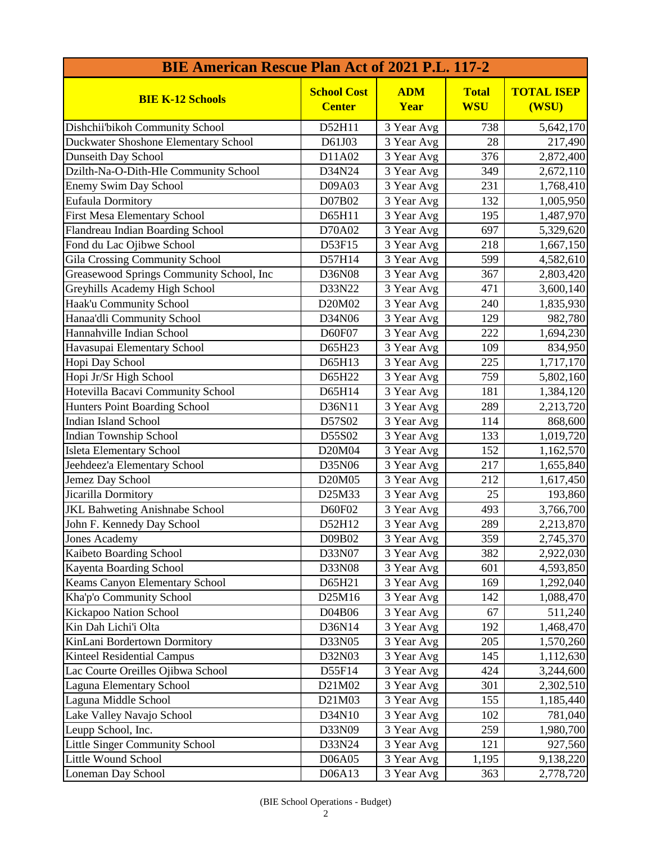| <b>BIE American Rescue Plan Act of 2021 P.L. 117-2</b> |                                     |                    |                            |                            |
|--------------------------------------------------------|-------------------------------------|--------------------|----------------------------|----------------------------|
| <b>BIE K-12 Schools</b>                                | <b>School Cost</b><br><b>Center</b> | <b>ADM</b><br>Year | <b>Total</b><br><b>WSU</b> | <b>TOTAL ISEP</b><br>(WSU) |
| Dishchii'bikoh Community School                        | D52H11                              | 3 Year Avg         | 738                        | 5,642,170                  |
| Duckwater Shoshone Elementary School                   | D61J03                              | 3 Year Avg         | 28                         | 217,490                    |
| <b>Dunseith Day School</b>                             | D11A02                              | 3 Year Avg         | 376                        | 2,872,400                  |
| Dzilth-Na-O-Dith-Hle Community School                  | D34N24                              | 3 Year Avg         | 349                        | 2,672,110                  |
| <b>Enemy Swim Day School</b>                           | D09A03                              | 3 Year Avg         | 231                        | 1,768,410                  |
| Eufaula Dormitory                                      | D07B02                              | 3 Year Avg         | 132                        | 1,005,950                  |
| <b>First Mesa Elementary School</b>                    | D65H11                              | 3 Year Avg         | 195                        | 1,487,970                  |
| Flandreau Indian Boarding School                       | D70A02                              | 3 Year Avg         | 697                        | 5,329,620                  |
| Fond du Lac Ojibwe School                              | D53F15                              | 3 Year Avg         | 218                        | 1,667,150                  |
| <b>Gila Crossing Community School</b>                  | D57H14                              | 3 Year Avg         | 599                        | 4,582,610                  |
| Greasewood Springs Community School, Inc               | D36N08                              | 3 Year Avg         | 367                        | 2,803,420                  |
| Greyhills Academy High School                          | D33N22                              | 3 Year Avg         | 471                        | 3,600,140                  |
| Haak'u Community School                                | D20M02                              | 3 Year Avg         | 240                        | 1,835,930                  |
| Hanaa'dli Community School                             | D34N06                              | 3 Year Avg         | 129                        | 982,780                    |
| Hannahville Indian School                              | D60F07                              | 3 Year Avg         | 222                        | 1,694,230                  |
| Havasupai Elementary School                            | D65H23                              | 3 Year Avg         | 109                        | 834,950                    |
| Hopi Day School                                        | D65H13                              | 3 Year Avg         | 225                        | 1,717,170                  |
| Hopi Jr/Sr High School                                 | D65H22                              | 3 Year Avg         | 759                        | 5,802,160                  |
| Hotevilla Bacavi Community School                      | D65H14                              | 3 Year Avg         | 181                        | 1,384,120                  |
| Hunters Point Boarding School                          | D36N11                              | 3 Year Avg         | 289                        | 2,213,720                  |
| <b>Indian Island School</b>                            | D57S02                              | 3 Year Avg         | 114                        | 868,600                    |
| Indian Township School                                 | D55S02                              | 3 Year Avg         | 133                        | 1,019,720                  |
| <b>Isleta Elementary School</b>                        | D20M04                              | 3 Year Avg         | 152                        | 1,162,570                  |
| Jeehdeez'a Elementary School                           | D35N06                              | 3 Year Avg         | 217                        | 1,655,840                  |
| Jemez Day School                                       | D20M05                              | 3 Year Avg         | 212                        | 1,617,450                  |
| Jicarilla Dormitory                                    | D25M33                              | 3 Year Avg         | 25                         | 193,860                    |
| JKL Bahweting Anishnabe School                         | D60F02                              | 3 Year Avg         | 493                        | 3,766,700                  |
| John F. Kennedy Day School                             | D52H12                              | 3 Year Avg         | 289                        | 2,213,870                  |
| <b>Jones Academy</b>                                   | D09B02                              | 3 Year Avg         | 359                        | 2,745,370                  |
| Kaibeto Boarding School                                | D33N07                              | 3 Year Avg         | 382                        | 2,922,030                  |
| Kayenta Boarding School                                | D33N08                              | 3 Year Avg         | 601                        | 4,593,850                  |
| Keams Canyon Elementary School                         | D65H21                              | 3 Year Avg         | 169                        | 1,292,040                  |
| Kha'p'o Community School                               | D25M16                              | 3 Year Avg         | 142                        | 1,088,470                  |
| Kickapoo Nation School                                 | D04B06                              | 3 Year Avg         | 67                         | 511,240                    |
| Kin Dah Lichi'i Olta                                   | D36N14                              | 3 Year Avg         | 192                        | 1,468,470                  |
| KinLani Bordertown Dormitory                           | D33N05                              | 3 Year Avg         | 205                        | 1,570,260                  |
| Kinteel Residential Campus                             | D32N03                              | 3 Year Avg         | 145                        | 1,112,630                  |
| Lac Courte Oreilles Ojibwa School                      | D55F14                              | 3 Year Avg         | 424                        | 3,244,600                  |
| <b>Laguna Elementary School</b>                        | D21M02                              | 3 Year Avg         | 301                        | 2,302,510                  |
| Laguna Middle School                                   | D21M03                              | 3 Year Avg         | 155                        | 1,185,440                  |
| Lake Valley Navajo School                              | D34N10                              | 3 Year Avg         | 102                        | 781,040                    |
| Leupp School, Inc.                                     | D33N09                              | 3 Year Avg         | 259                        | 1,980,700                  |
| Little Singer Community School                         | D33N24                              | 3 Year Avg         | 121                        | 927,560                    |
| Little Wound School                                    | D06A05                              | 3 Year Avg         | 1,195                      | 9,138,220                  |
| Loneman Day School                                     | D06A13                              | 3 Year Avg         | 363                        | 2,778,720                  |
|                                                        |                                     |                    |                            |                            |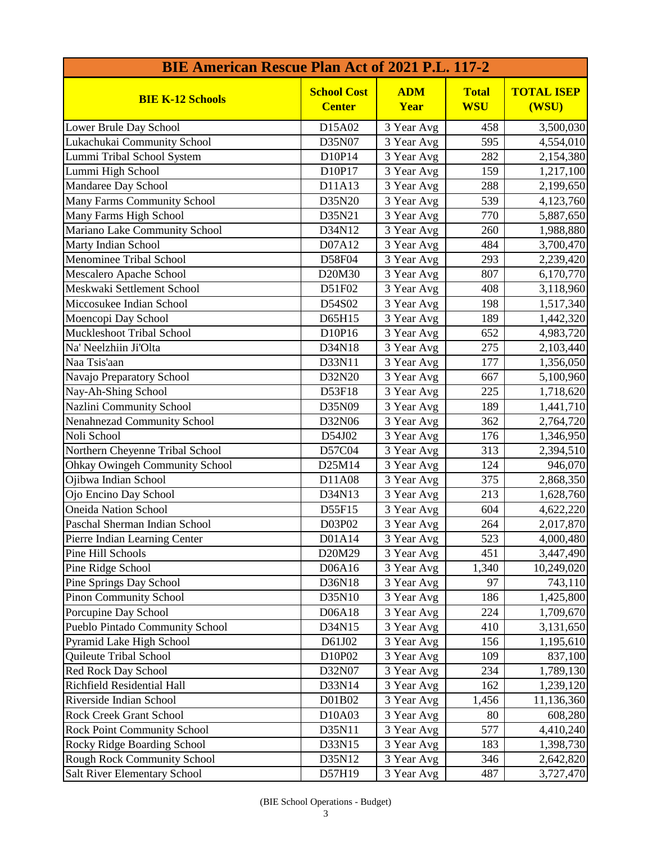| <b>BIE American Rescue Plan Act of 2021 P.L. 117-2</b>   |                                     |                          |                            |                            |
|----------------------------------------------------------|-------------------------------------|--------------------------|----------------------------|----------------------------|
| <b>BIE K-12 Schools</b>                                  | <b>School Cost</b><br><b>Center</b> | <b>ADM</b><br>Year       | <b>Total</b><br><b>WSU</b> | <b>TOTAL ISEP</b><br>(WSU) |
| Lower Brule Day School                                   | D15A02                              | 3 Year Avg               | 458                        | 3,500,030                  |
| Lukachukai Community School                              | D35N07                              | 3 Year Avg               | 595                        | 4,554,010                  |
| Lummi Tribal School System                               | D10P14                              | 3 Year Avg               | 282                        | 2,154,380                  |
| Lummi High School                                        | D10P17                              | 3 Year Avg               | 159                        | 1,217,100                  |
| Mandaree Day School                                      | D11A13                              | 3 Year Avg               | 288                        | 2,199,650                  |
| Many Farms Community School                              | D35N20                              | 3 Year Avg               | 539                        | 4,123,760                  |
| Many Farms High School                                   | D35N21                              | 3 Year Avg               | 770                        | 5,887,650                  |
| Mariano Lake Community School                            | D34N12                              | 3 Year Avg               | 260                        | 1,988,880                  |
| Marty Indian School                                      | D07A12                              | 3 Year Avg               | 484                        | 3,700,470                  |
| Menominee Tribal School                                  | D58F04                              | 3 Year Avg               | 293                        | 2,239,420                  |
| Mescalero Apache School                                  | D20M30                              | 3 Year Avg               | 807                        | 6,170,770                  |
| Meskwaki Settlement School                               | D51F02                              | 3 Year Avg               | 408                        | 3,118,960                  |
| Miccosukee Indian School                                 | D54S02                              | 3 Year Avg               | 198                        | 1,517,340                  |
| Moencopi Day School                                      | D65H15                              | 3 Year Avg               | 189                        | 1,442,320                  |
| <b>Muckleshoot Tribal School</b>                         | D10P16                              | 3 Year Avg               | 652                        | 4,983,720                  |
| Na' Neelzhiin Ji'Olta                                    | D34N18                              | 3 Year Avg               | 275                        | 2,103,440                  |
| Naa Tsis'aan                                             | D33N11                              | 3 Year Avg               | 177                        | 1,356,050                  |
| Navajo Preparatory School                                | D32N20                              | 3 Year Avg               | 667                        | 5,100,960                  |
| Nay-Ah-Shing School                                      | D53F18                              | 3 Year Avg               | 225                        | 1,718,620                  |
| Nazlini Community School                                 | D35N09                              | 3 Year Avg               | 189                        | 1,441,710                  |
| Nenahnezad Community School                              | D32N06                              | 3 Year Avg               | 362                        | 2,764,720                  |
| Noli School                                              | D54J02                              | 3 Year Avg               | 176                        | 1,346,950                  |
| Northern Cheyenne Tribal School                          | D57C04                              | 3 Year Avg               | 313                        | 2,394,510                  |
| <b>Ohkay Owingeh Community School</b>                    | D25M14                              | 3 Year Avg               | 124                        | 946,070                    |
| Ojibwa Indian School                                     | D11A08                              | 3 Year Avg               | 375                        | 2,868,350                  |
| Ojo Encino Day School                                    | D34N13                              | 3 Year Avg               | 213                        | 1,628,760                  |
| <b>Oneida Nation School</b>                              | D55F15                              | 3 Year Avg               | 604                        | 4,622,220                  |
| Paschal Sherman Indian School                            | D03P02                              | 3 Year Avg               | 264                        | 2,017,870                  |
| Pierre Indian Learning Center                            | D01A14                              | 3 Year Avg               | 523                        | 4,000,480                  |
| Pine Hill Schools                                        | D20M29                              | 3 Year Avg               | 451                        | 3,447,490                  |
| Pine Ridge School                                        | D06A16                              | 3 Year Avg               | 1,340                      | 10,249,020                 |
| Pine Springs Day School                                  | D36N18                              | 3 Year Avg               | 97                         | 743,110                    |
| <b>Pinon Community School</b>                            | D35N10                              | 3 Year Avg               | 186                        | 1,425,800                  |
| Porcupine Day School                                     | D06A18                              | 3 Year Avg               | 224                        | 1,709,670                  |
| Pueblo Pintado Community School                          | D34N15                              | 3 Year Avg               | 410                        | 3,131,650                  |
|                                                          | D61J02                              |                          | 156                        | 1,195,610                  |
| Pyramid Lake High School<br>Quileute Tribal School       | D10P02                              | 3 Year Avg<br>3 Year Avg | 109                        |                            |
|                                                          | D32N07                              |                          |                            | 837,100                    |
| <b>Red Rock Day School</b><br>Richfield Residential Hall |                                     | 3 Year Avg               | 234                        | 1,789,130                  |
|                                                          | D33N14                              | 3 Year Avg               | 162                        | 1,239,120                  |
| Riverside Indian School                                  | D01B02                              | 3 Year Avg               | 1,456                      | 11,136,360                 |
| <b>Rock Creek Grant School</b>                           | D10A03                              | 3 Year Avg               | 80                         | 608,280                    |
| <b>Rock Point Community School</b>                       | D35N11                              | 3 Year Avg               | 577                        | 4,410,240                  |
| Rocky Ridge Boarding School                              | D33N15                              | 3 Year Avg               | 183                        | 1,398,730                  |
| Rough Rock Community School                              | D35N12                              | 3 Year Avg               | 346                        | 2,642,820                  |
| <b>Salt River Elementary School</b>                      | D57H19                              | 3 Year Avg               | 487                        | 3,727,470                  |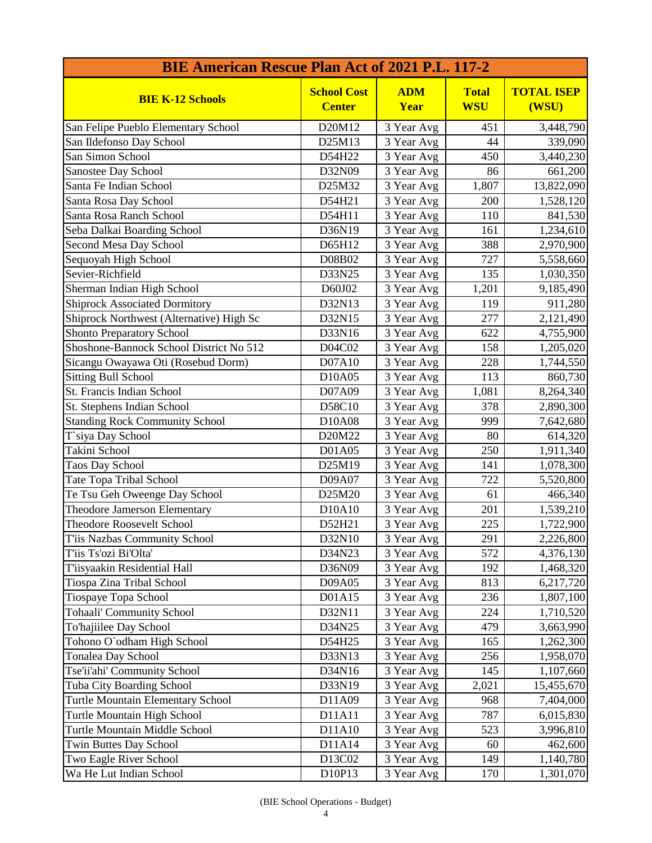| <b>BIE American Rescue Plan Act of 2021 P.L. 117-2</b> |                                     |                    |                            |                            |
|--------------------------------------------------------|-------------------------------------|--------------------|----------------------------|----------------------------|
| <b>BIE K-12 Schools</b>                                | <b>School Cost</b><br><b>Center</b> | <b>ADM</b><br>Year | <b>Total</b><br><b>WSU</b> | <b>TOTAL ISEP</b><br>(WSU) |
| San Felipe Pueblo Elementary School                    | D20M12                              | 3 Year Avg         | 451                        | 3,448,790                  |
| San Ildefonso Day School                               | D25M13                              | 3 Year Avg         | 44                         | 339,090                    |
| San Simon School                                       | D54H22                              | 3 Year Avg         | 450                        | 3,440,230                  |
| Sanostee Day School                                    | D32N09                              | 3 Year Avg         | 86                         | 661,200                    |
| Santa Fe Indian School                                 | D25M32                              | 3 Year Avg         | 1,807                      | 13,822,090                 |
| Santa Rosa Day School                                  | D54H21                              | 3 Year Avg         | 200                        | 1,528,120                  |
| Santa Rosa Ranch School                                | D54H11                              | 3 Year Avg         | 110                        | 841,530                    |
| Seba Dalkai Boarding School                            | D36N19                              | 3 Year Avg         | 161                        | 1,234,610                  |
| Second Mesa Day School                                 | D65H12                              | 3 Year Avg         | 388                        | 2,970,900                  |
| Sequoyah High School                                   | D08B02                              | 3 Year Avg         | 727                        | 5,558,660                  |
| Sevier-Richfield                                       | D33N25                              | 3 Year Avg         | 135                        | 1,030,350                  |
| Sherman Indian High School                             | D60J02                              | 3 Year Avg         | 1,201                      | 9,185,490                  |
| <b>Shiprock Associated Dormitory</b>                   | D32N13                              | 3 Year Avg         | 119                        | 911,280                    |
| Shiprock Northwest (Alternative) High Sc               | D32N15                              | 3 Year Avg         | 277                        | 2,121,490                  |
| <b>Shonto Preparatory School</b>                       | D33N16                              | 3 Year Avg         | 622                        | 4,755,900                  |
| Shoshone-Bannock School District No 512                | D04C02                              | 3 Year Avg         | 158                        | 1,205,020                  |
| Sicangu Owayawa Oti (Rosebud Dorm)                     | D07A10                              | 3 Year Avg         | 228                        | 1,744,550                  |
| <b>Sitting Bull School</b>                             | D10A05                              | 3 Year Avg         | 113                        | 860,730                    |
| St. Francis Indian School                              | D07A09                              | 3 Year Avg         | 1,081                      | 8,264,340                  |
| St. Stephens Indian School                             | D58C10                              | 3 Year Avg         | 378                        | 2,890,300                  |
| <b>Standing Rock Community School</b>                  | D10A08                              | 3 Year Avg         | 999                        | 7,642,680                  |
| T`siya Day School                                      | D20M22                              | 3 Year Avg         | 80                         | 614,320                    |
| Takini School                                          | D01A05                              | 3 Year Avg         | 250                        | 1,911,340                  |
| <b>Taos Day School</b>                                 | D25M19                              | 3 Year Avg         | 141                        | 1,078,300                  |
| Tate Topa Tribal School                                | D09A07                              | 3 Year Avg         | 722                        | 5,520,800                  |
| Te Tsu Geh Oweenge Day School                          | D25M20                              | 3 Year Avg         | 61                         | 466,340                    |
| Theodore Jamerson Elementary                           | D10A10                              | 3 Year Avg         | 201                        | 1,539,210                  |
| <b>Theodore Roosevelt School</b>                       | D52H21                              | 3 Year Avg         | 225                        | 1,722,900                  |
| T'iis Nazbas Community School                          | D32N10                              | 3 Year Avg         | 291                        | 2,226,800                  |
| T'iis Ts'ozi Bi'Olta'                                  | D34N23                              | 3 Year Avg         | 572                        | 4,376,130                  |
| T'iisyaakin Residential Hall                           | D36N09                              | 3 Year Avg         | 192                        | 1,468,320                  |
| Tiospa Zina Tribal School                              | D09A05                              | 3 Year Avg         | 813                        | 6,217,720                  |
| Tiospaye Topa School                                   | D01A15                              | 3 Year Avg         | 236                        | 1,807,100                  |
| <b>Tohaali' Community School</b>                       | D32N11                              | 3 Year Avg         | 224                        | 1,710,520                  |
| To'hajiilee Day School                                 | D34N25                              | 3 Year Avg         | 479                        | 3,663,990                  |
| Tohono O'odham High School                             | D54H25                              | 3 Year Avg         | 165                        | 1,262,300                  |
| <b>Tonalea Day School</b>                              | D33N13                              | 3 Year Avg         | 256                        | 1,958,070                  |
| Tse'ii'ahi' Community School                           | D34N16                              | 3 Year Avg         | 145                        | 1,107,660                  |
| Tuba City Boarding School                              | D33N19                              | 3 Year Avg         | 2,021                      | 15,455,670                 |
| <b>Turtle Mountain Elementary School</b>               | D11A09                              | 3 Year Avg         | 968                        | 7,404,000                  |
| Turtle Mountain High School                            | D11A11                              | 3 Year Avg         | 787                        | 6,015,830                  |
| <b>Turtle Mountain Middle School</b>                   | D11A10                              | 3 Year Avg         | 523                        | 3,996,810                  |
| <b>Twin Buttes Day School</b>                          | D11A14                              | 3 Year Avg         | 60                         | 462,600                    |
| Two Eagle River School                                 | D13C02                              | 3 Year Avg         | 149                        | 1,140,780                  |
| Wa He Lut Indian School                                | D10P13                              | 3 Year Avg         | 170                        | 1,301,070                  |